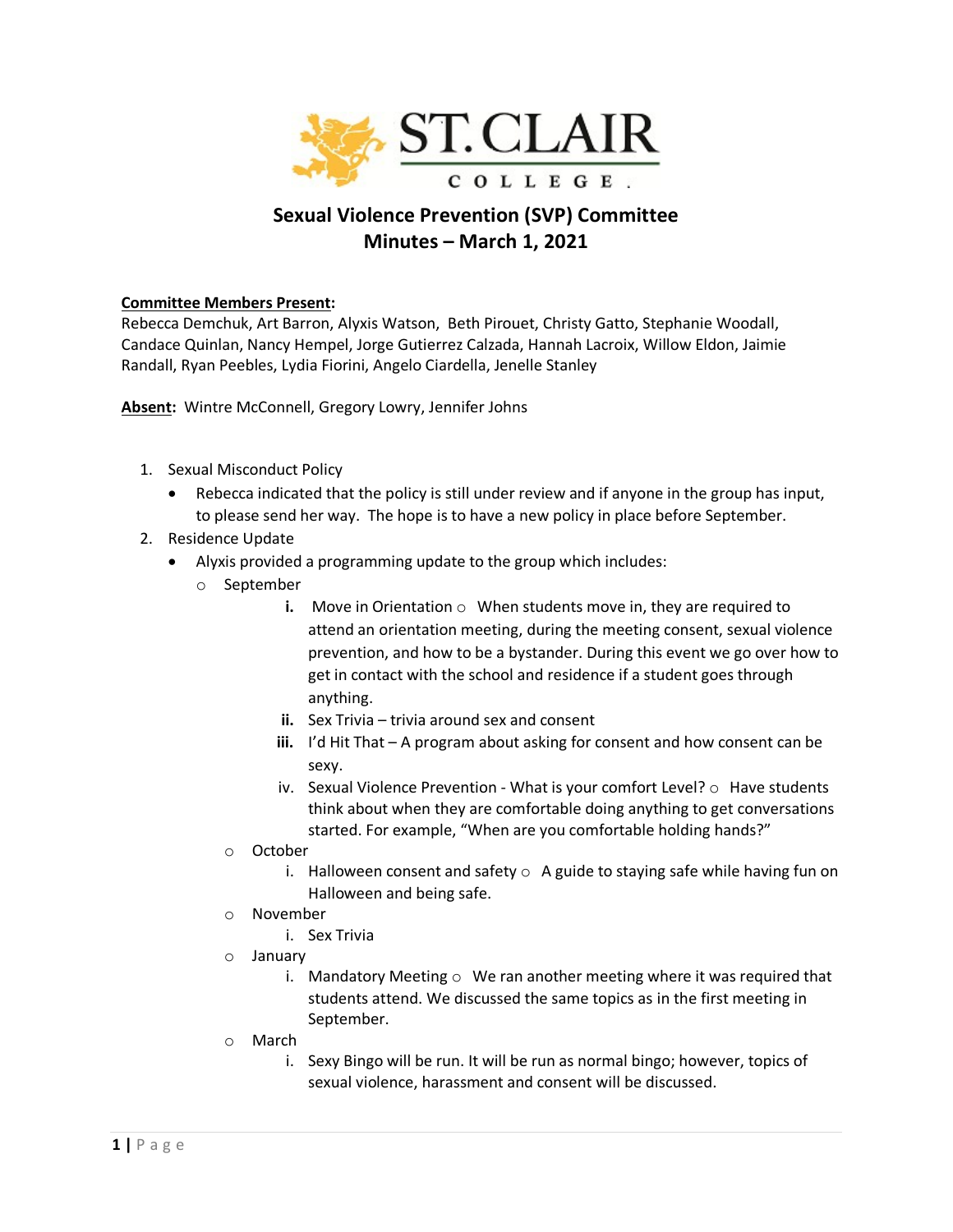

# **Sexual Violence Prevention (SVP) Committee Minutes – March 1, 2021**

## **Committee Members Present:**

Rebecca Demchuk, Art Barron, Alyxis Watson, Beth Pirouet, Christy Gatto, Stephanie Woodall, Candace Quinlan, Nancy Hempel, Jorge Gutierrez Calzada, Hannah Lacroix, Willow Eldon, Jaimie Randall, Ryan Peebles, Lydia Fiorini, Angelo Ciardella, Jenelle Stanley

**Absent:** Wintre McConnell, Gregory Lowry, Jennifer Johns

- 1. Sexual Misconduct Policy
	- Rebecca indicated that the policy is still under review and if anyone in the group has input, to please send her way. The hope is to have a new policy in place before September.
- 2. Residence Update
	- Alyxis provided a programming update to the group which includes:
		- o September
			- **i.** Move in Orientation  $\circ$  When students move in, they are required to attend an orientation meeting, during the meeting consent, sexual violence prevention, and how to be a bystander. During this event we go over how to get in contact with the school and residence if a student goes through anything.
			- **ii.** Sex Trivia trivia around sex and consent
			- **iii.** I'd Hit That A program about asking for consent and how consent can be sexy.
			- iv. Sexual Violence Prevention What is your comfort Level? o Have students think about when they are comfortable doing anything to get conversations started. For example, "When are you comfortable holding hands?"
			- o October
				- i. Halloween consent and safety  $\circ$  A guide to staying safe while having fun on Halloween and being safe.
			- o November
				- i. Sex Trivia
			- o January
				- i. Mandatory Meeting  $\circ$  We ran another meeting where it was required that students attend. We discussed the same topics as in the first meeting in September.
			- o March
				- i. Sexy Bingo will be run. It will be run as normal bingo; however, topics of sexual violence, harassment and consent will be discussed.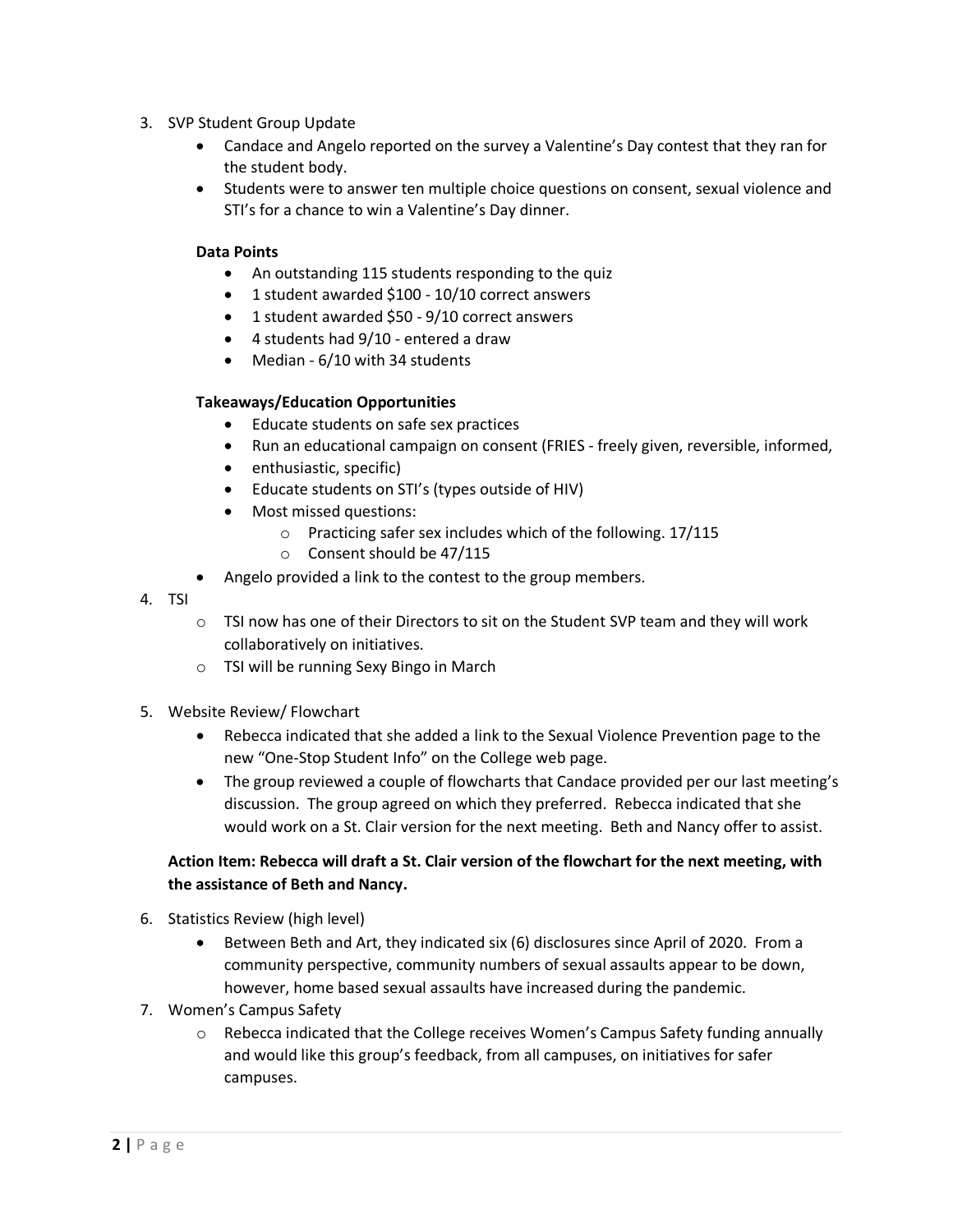- 3. SVP Student Group Update
	- Candace and Angelo reported on the survey a Valentine's Day contest that they ran for the student body.
	- Students were to answer ten multiple choice questions on consent, sexual violence and STI's for a chance to win a Valentine's Day dinner.

## **Data Points**

- An outstanding 115 students responding to the quiz
- 1 student awarded \$100 10/10 correct answers
- 1 student awarded \$50 9/10 correct answers
- 4 students had 9/10 entered a draw
- Median 6/10 with 34 students

## **Takeaways/Education Opportunities**

- Educate students on safe sex practices
- Run an educational campaign on consent (FRIES freely given, reversible, informed,
- enthusiastic, specific)
- Educate students on STI's (types outside of HIV)
- Most missed questions:
	- o Practicing safer sex includes which of the following. 17/115
	- o Consent should be 47/115
- Angelo provided a link to the contest to the group members.
- 4. TSI
- $\circ$  TSI now has one of their Directors to sit on the Student SVP team and they will work collaboratively on initiatives.
- o TSI will be running Sexy Bingo in March
- 5. Website Review/ Flowchart
	- Rebecca indicated that she added a link to the Sexual Violence Prevention page to the new "One-Stop Student Info" on the College web page.
	- The group reviewed a couple of flowcharts that Candace provided per our last meeting's discussion. The group agreed on which they preferred. Rebecca indicated that she would work on a St. Clair version for the next meeting. Beth and Nancy offer to assist.

# **Action Item: Rebecca will draft a St. Clair version of the flowchart for the next meeting, with the assistance of Beth and Nancy.**

- 6. Statistics Review (high level)
	- Between Beth and Art, they indicated six (6) disclosures since April of 2020. From a community perspective, community numbers of sexual assaults appear to be down, however, home based sexual assaults have increased during the pandemic.
- 7. Women's Campus Safety
	- $\circ$  Rebecca indicated that the College receives Women's Campus Safety funding annually and would like this group's feedback, from all campuses, on initiatives for safer campuses.